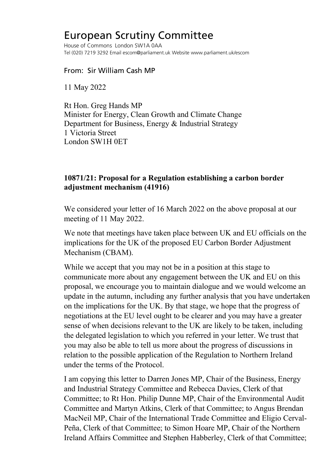## European Scrutiny Committee

House of Commons London SW1A 0AA Tel (020) 7219 3292 Email escom@parliament.uk Website www.parliament.uk/escom

From: Sir William Cash MP

11 May 2022

Rt Hon. Greg Hands MP Minister for Energy, Clean Growth and Climate Change Department for Business, Energy & Industrial Strategy 1 Victoria Street London SW1H 0ET

## **10871/21: Proposal for a Regulation establishing a carbon border adjustment mechanism (41916)**

We considered your letter of 16 March 2022 on the above proposal at our meeting of 11 May 2022.

We note that meetings have taken place between UK and EU officials on the implications for the UK of the proposed EU Carbon Border Adjustment Mechanism (CBAM).

While we accept that you may not be in a position at this stage to communicate more about any engagement between the UK and EU on this proposal, we encourage you to maintain dialogue and we would welcome an update in the autumn, including any further analysis that you have undertaken on the implications for the UK. By that stage, we hope that the progress of negotiations at the EU level ought to be clearer and you may have a greater sense of when decisions relevant to the UK are likely to be taken, including the delegated legislation to which you referred in your letter. We trust that you may also be able to tell us more about the progress of discussions in relation to the possible application of the Regulation to Northern Ireland under the terms of the Protocol.

I am copying this letter to Darren Jones MP, Chair of the Business, Energy and Industrial Strategy Committee and Rebecca Davies, Clerk of that Committee; to Rt Hon. Philip Dunne MP, Chair of the Environmental Audit Committee and Martyn Atkins, Clerk of that Committee; to Angus Brendan MacNeil MP, Chair of the International Trade Committee and Eligio Cerval-Peña, Clerk of that Committee; to Simon Hoare MP, Chair of the Northern Ireland Affairs Committee and Stephen Habberley, Clerk of that Committee;